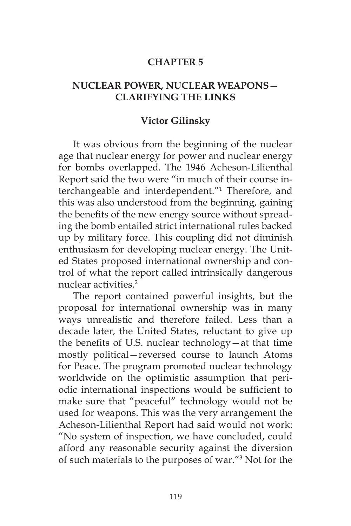#### **CHAPTER 5**

# **NUCLEAR POWER, NUCLEAR WEAPONS— CLARIFYING THE LINKS**

#### **Victor Gilinsky**

It was obvious from the beginning of the nuclear age that nuclear energy for power and nuclear energy for bombs overlapped. The 1946 Acheson-Lilienthal Report said the two were "in much of their course interchangeable and interdependent."1 Therefore, and this was also understood from the beginning, gaining the benefits of the new energy source without spreading the bomb entailed strict international rules backed up by military force. This coupling did not diminish enthusiasm for developing nuclear energy. The United States proposed international ownership and control of what the report called intrinsically dangerous nuclear activities<sup>2</sup>

The report contained powerful insights, but the proposal for international ownership was in many ways unrealistic and therefore failed. Less than a decade later, the United States, reluctant to give up the benefits of U.S. nuclear technology—at that time mostly political—reversed course to launch Atoms for Peace. The program promoted nuclear technology worldwide on the optimistic assumption that periodic international inspections would be sufficient to make sure that "peaceful" technology would not be used for weapons. This was the very arrangement the Acheson-Lilienthal Report had said would not work: "No system of inspection, we have concluded, could afford any reasonable security against the diversion of such materials to the purposes of war."3 Not for the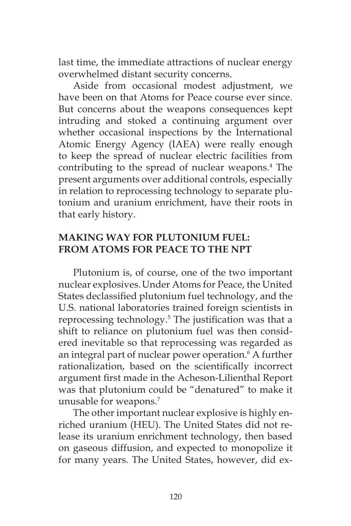last time, the immediate attractions of nuclear energy overwhelmed distant security concerns.

Aside from occasional modest adjustment, we have been on that Atoms for Peace course ever since. But concerns about the weapons consequences kept intruding and stoked a continuing argument over whether occasional inspections by the International Atomic Energy Agency (IAEA) were really enough to keep the spread of nuclear electric facilities from contributing to the spread of nuclear weapons.4 The present arguments over additional controls, especially in relation to reprocessing technology to separate plutonium and uranium enrichment, have their roots in that early history.

# **MAKING WAY FOR PLUTONIUM FUEL: FROM ATOMS FOR PEACE TO THE NPT**

Plutonium is, of course, one of the two important nuclear explosives.Under Atoms for Peace, the United States declassified plutonium fuel technology, and the U.S. national laboratories trained foreign scientists in reprocessing technology.5 The justification was that a shift to reliance on plutonium fuel was then considered inevitable so that reprocessing was regarded as an integral part of nuclear power operation.6 A further rationalization, based on the scientifically incorrect argument first made in the Acheson-Lilienthal Report was that plutonium could be "denatured" to make it unusable for weapons.7

The other important nuclear explosive is highly enriched uranium (HEU). The United States did not release its uranium enrichment technology, then based on gaseous diffusion, and expected to monopolize it for many years. The United States, however, did ex-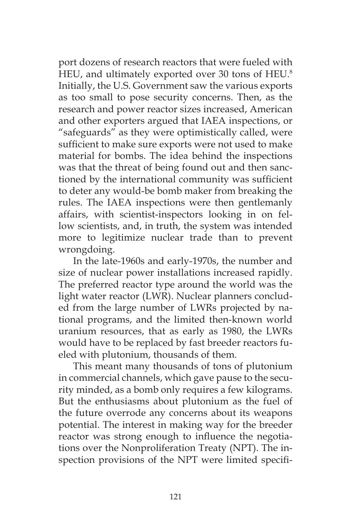port dozens of research reactors that were fueled with HEU, and ultimately exported over 30 tons of HEU.<sup>8</sup> Initially, the U.S. Government saw the various exports as too small to pose security concerns. Then, as the research and power reactor sizes increased, American and other exporters argued that IAEA inspections, or "safeguards" as they were optimistically called, were sufficient to make sure exports were not used to make material for bombs. The idea behind the inspections was that the threat of being found out and then sanctioned by the international community was sufficient to deter any would-be bomb maker from breaking the rules. The IAEA inspections were then gentlemanly affairs, with scientist-inspectors looking in on fellow scientists, and, in truth, the system was intended more to legitimize nuclear trade than to prevent wrongdoing.

In the late-1960s and early-1970s, the number and size of nuclear power installations increased rapidly. The preferred reactor type around the world was the light water reactor (LWR). Nuclear planners concluded from the large number of LWRs projected by national programs, and the limited then-known world uranium resources, that as early as 1980, the LWRs would have to be replaced by fast breeder reactors fueled with plutonium, thousands of them.

This meant many thousands of tons of plutonium in commercial channels, which gave pause to the security minded, as a bomb only requires a few kilograms. But the enthusiasms about plutonium as the fuel of the future overrode any concerns about its weapons potential. The interest in making way for the breeder reactor was strong enough to influence the negotiations over the Nonproliferation Treaty (NPT). The inspection provisions of the NPT were limited specifi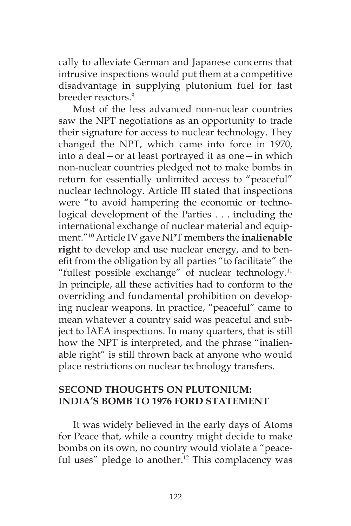cally to alleviate German and Japanese concerns that intrusive inspections would put them at a competitive disadvantage in supplying plutonium fuel for fast breeder reactors.9

Most of the less advanced non-nuclear countries saw the NPT negotiations as an opportunity to trade their signature for access to nuclear technology. They changed the NPT, which came into force in 1970, into a deal—or at least portrayed it as one—in which non-nuclear countries pledged not to make bombs in return for essentially unlimited access to "peaceful" nuclear technology. Article III stated that inspections were "to avoid hampering the economic or technological development of the Parties . . . including the international exchange of nuclear material and equipment."10 Article IV gave NPT members the **inalienable right** to develop and use nuclear energy, and to benefit from the obligation by all parties "to facilitate" the "fullest possible exchange" of nuclear technology.<sup>11</sup> In principle, all these activities had to conform to the overriding and fundamental prohibition on developing nuclear weapons. In practice, "peaceful" came to mean whatever a country said was peaceful and subject to IAEA inspections. In many quarters, that is still how the NPT is interpreted, and the phrase "inalienable right" is still thrown back at anyone who would place restrictions on nuclear technology transfers.

#### **SECOND THOUGHTS ON PLUTONIUM: INDIA'S BOMB TO 1976 FORD STATEMENT**

It was widely believed in the early days of Atoms for Peace that, while a country might decide to make bombs on its own, no country would violate a "peaceful uses" pledge to another.<sup>12</sup> This complacency was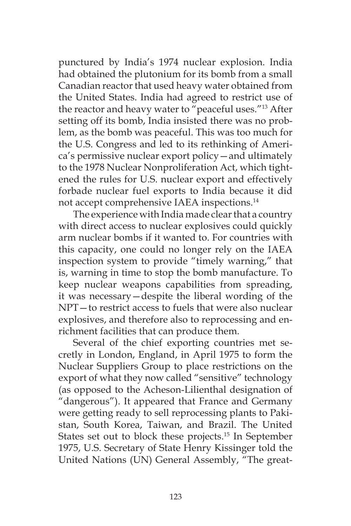punctured by India's 1974 nuclear explosion. India had obtained the plutonium for its bomb from a small Canadian reactor that used heavy water obtained from the United States. India had agreed to restrict use of the reactor and heavy water to "peaceful uses."13 After setting off its bomb, India insisted there was no problem, as the bomb was peaceful. This was too much for the U.S. Congress and led to its rethinking of America's permissive nuclear export policy—and ultimately to the 1978 Nuclear Nonproliferation Act, which tightened the rules for U.S. nuclear export and effectively forbade nuclear fuel exports to India because it did not accept comprehensive IAEA inspections.<sup>14</sup>

The experience with India made clear that a country with direct access to nuclear explosives could quickly arm nuclear bombs if it wanted to. For countries with this capacity, one could no longer rely on the IAEA inspection system to provide "timely warning," that is, warning in time to stop the bomb manufacture. To keep nuclear weapons capabilities from spreading, it was necessary—despite the liberal wording of the NPT—to restrict access to fuels that were also nuclear explosives, and therefore also to reprocessing and enrichment facilities that can produce them.

Several of the chief exporting countries met secretly in London, England, in April 1975 to form the Nuclear Suppliers Group to place restrictions on the export of what they now called "sensitive" technology (as opposed to the Acheson-Lilienthal designation of "dangerous"). It appeared that France and Germany were getting ready to sell reprocessing plants to Pakistan, South Korea, Taiwan, and Brazil. The United States set out to block these projects.15 In September 1975, U.S. Secretary of State Henry Kissinger told the United Nations (UN) General Assembly, "The great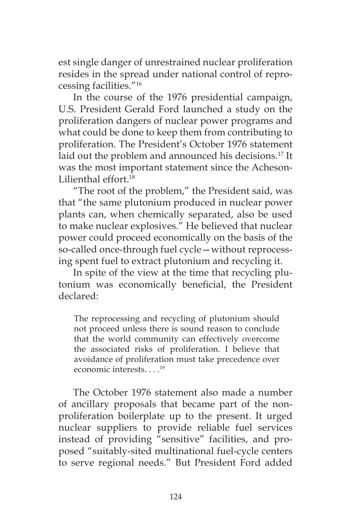est single danger of unrestrained nuclear proliferation resides in the spread under national control of reprocessing facilities."16

In the course of the 1976 presidential campaign, U.S. President Gerald Ford launched a study on the proliferation dangers of nuclear power programs and what could be done to keep them from contributing to proliferation. The President's October 1976 statement laid out the problem and announced his decisions.17 It was the most important statement since the Acheson-Lilienthal effort.18

"The root of the problem," the President said, was that "the same plutonium produced in nuclear power plants can, when chemically separated, also be used to make nuclear explosives." He believed that nuclear power could proceed economically on the basis of the so-called once-through fuel cycle—without reprocessing spent fuel to extract plutonium and recycling it.

In spite of the view at the time that recycling plutonium was economically beneficial, the President declared:

The reprocessing and recycling of plutonium should not proceed unless there is sound reason to conclude that the world community can effectively overcome the associated risks of proliferation. I believe that avoidance of proliferation must take precedence over economic interests. . . .<sup>19</sup>

The October 1976 statement also made a number of ancillary proposals that became part of the nonproliferation boilerplate up to the present. It urged nuclear suppliers to provide reliable fuel services instead of providing "sensitive" facilities, and proposed "suitably-sited multinational fuel-cycle centers to serve regional needs." But President Ford added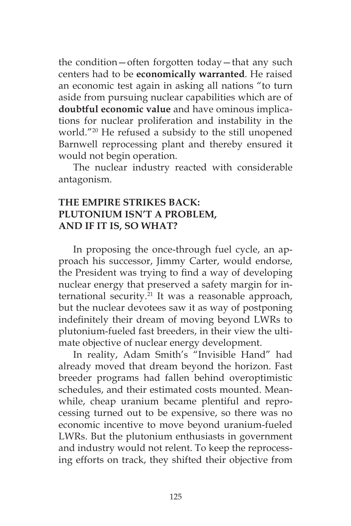the condition—often forgotten today—that any such centers had to be **economically warranted**. He raised an economic test again in asking all nations "to turn aside from pursuing nuclear capabilities which are of **doubtful economic value** and have ominous implications for nuclear proliferation and instability in the world."20 He refused a subsidy to the still unopened Barnwell reprocessing plant and thereby ensured it would not begin operation.

The nuclear industry reacted with considerable antagonism.

# **THE EMPIRE STRIKES BACK: PLUTONIUM ISN'T A PROBLEM, AND IF IT IS, SO WHAT?**

In proposing the once-through fuel cycle, an approach his successor, Jimmy Carter, would endorse, the President was trying to find a way of developing nuclear energy that preserved a safety margin for international security.<sup>21</sup> It was a reasonable approach, but the nuclear devotees saw it as way of postponing indefinitely their dream of moving beyond LWRs to plutonium-fueled fast breeders, in their view the ultimate objective of nuclear energy development.

In reality, Adam Smith's "Invisible Hand" had already moved that dream beyond the horizon. Fast breeder programs had fallen behind overoptimistic schedules, and their estimated costs mounted. Meanwhile, cheap uranium became plentiful and reprocessing turned out to be expensive, so there was no economic incentive to move beyond uranium-fueled LWRs. But the plutonium enthusiasts in government and industry would not relent. To keep the reprocessing efforts on track, they shifted their objective from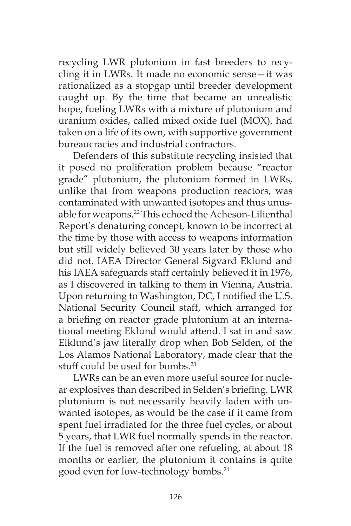recycling LWR plutonium in fast breeders to recycling it in LWRs. It made no economic sense—it was rationalized as a stopgap until breeder development caught up. By the time that became an unrealistic hope, fueling LWRs with a mixture of plutonium and uranium oxides, called mixed oxide fuel (MOX), had taken on a life of its own, with supportive government bureaucracies and industrial contractors.

Defenders of this substitute recycling insisted that it posed no proliferation problem because "reactor grade" plutonium, the plutonium formed in LWRs, unlike that from weapons production reactors, was contaminated with unwanted isotopes and thus unusable for weapons.22 This echoed the Acheson-Lilienthal Report's denaturing concept, known to be incorrect at the time by those with access to weapons information but still widely believed 30 years later by those who did not. IAEA Director General Sigvard Eklund and his IAEA safeguards staff certainly believed it in 1976, as I discovered in talking to them in Vienna, Austria. Upon returning to Washington, DC, I notified the U.S. National Security Council staff, which arranged for a briefing on reactor grade plutonium at an international meeting Eklund would attend. I sat in and saw Elklund's jaw literally drop when Bob Selden, of the Los Alamos National Laboratory, made clear that the stuff could be used for bombs<sup>23</sup>

LWRs can be an even more useful source for nuclear explosives than described in Selden's briefing. LWR plutonium is not necessarily heavily laden with unwanted isotopes, as would be the case if it came from spent fuel irradiated for the three fuel cycles, or about 5 years, that LWR fuel normally spends in the reactor. If the fuel is removed after one refueling, at about 18 months or earlier, the plutonium it contains is quite good even for low-technology bombs.24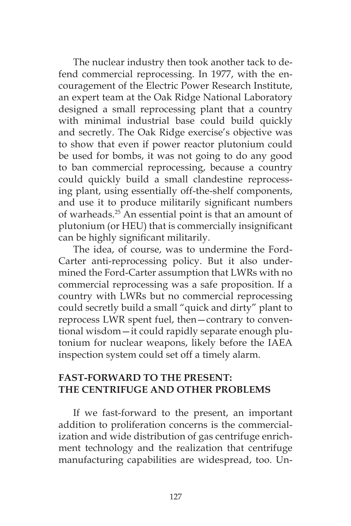The nuclear industry then took another tack to defend commercial reprocessing. In 1977, with the encouragement of the Electric Power Research Institute, an expert team at the Oak Ridge National Laboratory designed a small reprocessing plant that a country with minimal industrial base could build quickly and secretly. The Oak Ridge exercise's objective was to show that even if power reactor plutonium could be used for bombs, it was not going to do any good to ban commercial reprocessing, because a country could quickly build a small clandestine reprocessing plant, using essentially off-the-shelf components, and use it to produce militarily significant numbers of warheads.<sup>25</sup> An essential point is that an amount of plutonium (or HEU) that is commercially insignificant can be highly significant militarily.

The idea, of course, was to undermine the Ford-Carter anti-reprocessing policy. But it also undermined the Ford-Carter assumption that LWRs with no commercial reprocessing was a safe proposition. If a country with LWRs but no commercial reprocessing could secretly build a small "quick and dirty" plant to reprocess LWR spent fuel, then—contrary to conventional wisdom—it could rapidly separate enough plutonium for nuclear weapons, likely before the IAEA inspection system could set off a timely alarm.

# **FAST-FORWARD TO THE PRESENT: THE CENTRIFUGE AND OTHER PROBLEMS**

If we fast-forward to the present, an important addition to proliferation concerns is the commercialization and wide distribution of gas centrifuge enrichment technology and the realization that centrifuge manufacturing capabilities are widespread, too. Un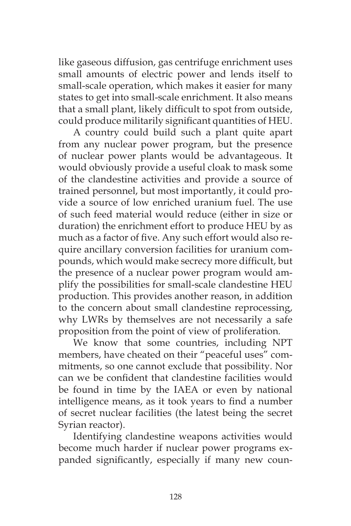like gaseous diffusion, gas centrifuge enrichment uses small amounts of electric power and lends itself to small-scale operation, which makes it easier for many states to get into small-scale enrichment. It also means that a small plant, likely difficult to spot from outside, could produce militarily significant quantities of HEU.

A country could build such a plant quite apart from any nuclear power program, but the presence of nuclear power plants would be advantageous. It would obviously provide a useful cloak to mask some of the clandestine activities and provide a source of trained personnel, but most importantly, it could provide a source of low enriched uranium fuel. The use of such feed material would reduce (either in size or duration) the enrichment effort to produce HEU by as much as a factor of five. Any such effort would also require ancillary conversion facilities for uranium compounds, which would make secrecy more difficult, but the presence of a nuclear power program would amplify the possibilities for small-scale clandestine HEU production. This provides another reason, in addition to the concern about small clandestine reprocessing, why LWRs by themselves are not necessarily a safe proposition from the point of view of proliferation*.*

We know that some countries, including NPT members, have cheated on their "peaceful uses" commitments, so one cannot exclude that possibility. Nor can we be confident that clandestine facilities would be found in time by the IAEA or even by national intelligence means, as it took years to find a number of secret nuclear facilities (the latest being the secret Syrian reactor).

Identifying clandestine weapons activities would become much harder if nuclear power programs expanded significantly, especially if many new coun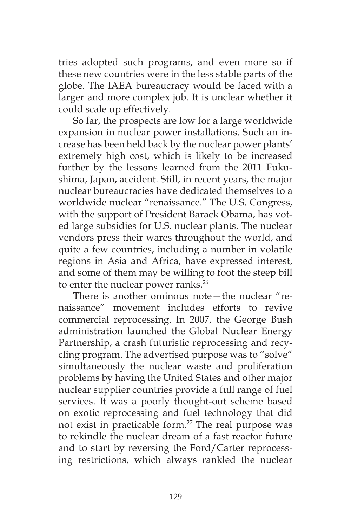tries adopted such programs, and even more so if these new countries were in the less stable parts of the globe. The IAEA bureaucracy would be faced with a larger and more complex job. It is unclear whether it could scale up effectively.

So far, the prospects are low for a large worldwide expansion in nuclear power installations. Such an increase has been held back by the nuclear power plants' extremely high cost, which is likely to be increased further by the lessons learned from the 2011 Fukushima, Japan, accident. Still, in recent years, the major nuclear bureaucracies have dedicated themselves to a worldwide nuclear "renaissance." The U.S. Congress, with the support of President Barack Obama, has voted large subsidies for U.S. nuclear plants. The nuclear vendors press their wares throughout the world, and quite a few countries, including a number in volatile regions in Asia and Africa, have expressed interest, and some of them may be willing to foot the steep bill to enter the nuclear power ranks.<sup>26</sup>

There is another ominous note—the nuclear "renaissance" movement includes efforts to revive commercial reprocessing. In 2007, the George Bush administration launched the Global Nuclear Energy Partnership, a crash futuristic reprocessing and recycling program. The advertised purpose was to "solve" simultaneously the nuclear waste and proliferation problems by having the United States and other major nuclear supplier countries provide a full range of fuel services. It was a poorly thought-out scheme based on exotic reprocessing and fuel technology that did not exist in practicable form.<sup>27</sup> The real purpose was to rekindle the nuclear dream of a fast reactor future and to start by reversing the Ford/Carter reprocessing restrictions, which always rankled the nuclear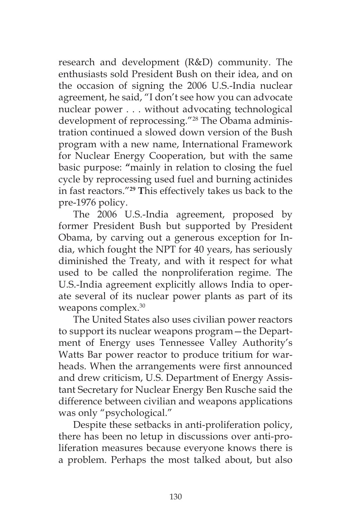research and development (R&D) community. The enthusiasts sold President Bush on their idea, and on the occasion of signing the 2006 U.S.-India nuclear agreement, he said, "I don't see how you can advocate nuclear power . . . without advocating technological development of reprocessing."28 The Obama administration continued a slowed down version of the Bush program with a new name, International Framework for Nuclear Energy Cooperation, but with the same basic purpose: **"**mainly in relation to closing the fuel cycle by reprocessing used fuel and burning actinides in fast reactors."**<sup>29</sup> T**his effectively takes us back to the pre-1976 policy.

The 2006 U.S.-India agreement, proposed by former President Bush but supported by President Obama, by carving out a generous exception for India, which fought the NPT for 40 years, has seriously diminished the Treaty, and with it respect for what used to be called the nonproliferation regime. The U.S.-India agreement explicitly allows India to operate several of its nuclear power plants as part of its weapons complex.<sup>30</sup>

The United States also uses civilian power reactors to support its nuclear weapons program—the Department of Energy uses Tennessee Valley Authority's Watts Bar power reactor to produce tritium for warheads. When the arrangements were first announced and drew criticism, U.S. Department of Energy Assistant Secretary for Nuclear Energy Ben Rusche said the difference between civilian and weapons applications was only "psychological."

Despite these setbacks in anti-proliferation policy, there has been no letup in discussions over anti-proliferation measures because everyone knows there is a problem. Perhaps the most talked about, but also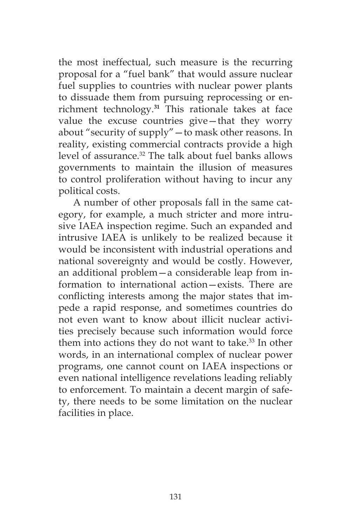the most ineffectual, such measure is the recurring proposal for a "fuel bank" that would assure nuclear fuel supplies to countries with nuclear power plants to dissuade them from pursuing reprocessing or enrichment technology.**<sup>31</sup>** This rationale takes at face value the excuse countries give—that they worry about "security of supply"—to mask other reasons. In reality, existing commercial contracts provide a high level of assurance.<sup>32</sup> The talk about fuel banks allows governments to maintain the illusion of measures to control proliferation without having to incur any political costs.

A number of other proposals fall in the same category, for example, a much stricter and more intrusive IAEA inspection regime. Such an expanded and intrusive IAEA is unlikely to be realized because it would be inconsistent with industrial operations and national sovereignty and would be costly. However, an additional problem—a considerable leap from information to international action—exists. There are conflicting interests among the major states that impede a rapid response, and sometimes countries do not even want to know about illicit nuclear activities precisely because such information would force them into actions they do not want to take. $33$  In other words, in an international complex of nuclear power programs, one cannot count on IAEA inspections or even national intelligence revelations leading reliably to enforcement. To maintain a decent margin of safety, there needs to be some limitation on the nuclear facilities in place.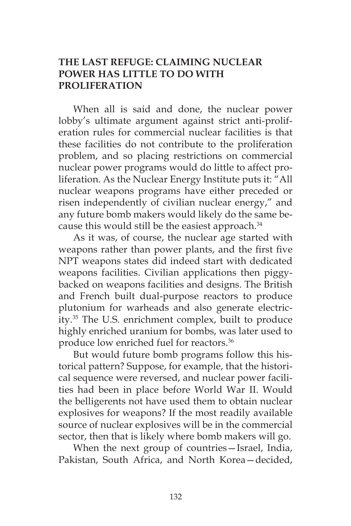# **THE LAST REFUGE: CLAIMING NUCLEAR POWER HAS LITTLE TO DO WITH PROLIFERATION**

When all is said and done, the nuclear power lobby's ultimate argument against strict anti-proliferation rules for commercial nuclear facilities is that these facilities do not contribute to the proliferation problem, and so placing restrictions on commercial nuclear power programs would do little to affect proliferation. As the Nuclear Energy Institute puts it: "All nuclear weapons programs have either preceded or risen independently of civilian nuclear energy," and any future bomb makers would likely do the same because this would still be the easiest approach.<sup>34</sup>

As it was, of course, the nuclear age started with weapons rather than power plants, and the first five NPT weapons states did indeed start with dedicated weapons facilities. Civilian applications then piggybacked on weapons facilities and designs. The British and French built dual-purpose reactors to produce plutonium for warheads and also generate electricity.35 The U.S. enrichment complex, built to produce highly enriched uranium for bombs, was later used to produce low enriched fuel for reactors.<sup>36</sup>

But would future bomb programs follow this historical pattern? Suppose, for example, that the historical sequence were reversed, and nuclear power facilities had been in place before World War II. Would the belligerents not have used them to obtain nuclear explosives for weapons? If the most readily available source of nuclear explosives will be in the commercial sector, then that is likely where bomb makers will go.

When the next group of countries—Israel, India, Pakistan, South Africa, and North Korea—decided,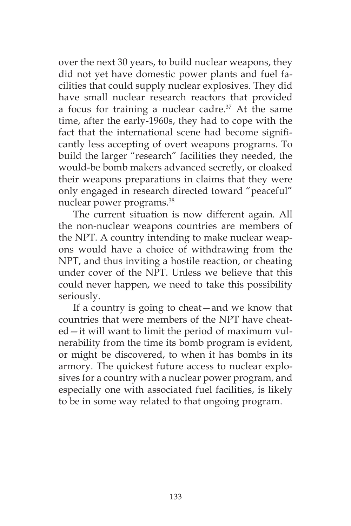over the next 30 years, to build nuclear weapons, they did not yet have domestic power plants and fuel facilities that could supply nuclear explosives. They did have small nuclear research reactors that provided a focus for training a nuclear cadre. $37$  At the same time, after the early-1960s, they had to cope with the fact that the international scene had become significantly less accepting of overt weapons programs. To build the larger "research" facilities they needed, the would-be bomb makers advanced secretly, or cloaked their weapons preparations in claims that they were only engaged in research directed toward "peaceful" nuclear power programs.<sup>38</sup>

The current situation is now different again. All the non-nuclear weapons countries are members of the NPT. A country intending to make nuclear weapons would have a choice of withdrawing from the NPT, and thus inviting a hostile reaction, or cheating under cover of the NPT. Unless we believe that this could never happen, we need to take this possibility seriously.

If a country is going to cheat—and we know that countries that were members of the NPT have cheated—it will want to limit the period of maximum vulnerability from the time its bomb program is evident, or might be discovered, to when it has bombs in its armory. The quickest future access to nuclear explosives for a country with a nuclear power program, and especially one with associated fuel facilities, is likely to be in some way related to that ongoing program.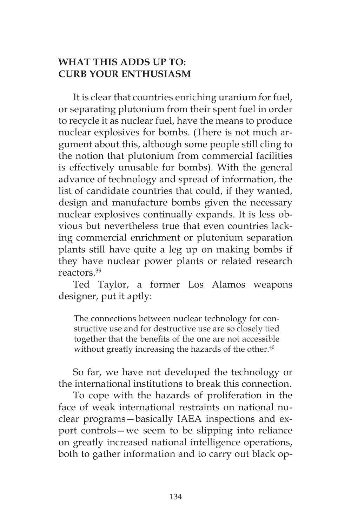# **WHAT THIS ADDS UP TO: CURB YOUR ENTHUSIASM**

It is clear that countries enriching uranium for fuel, or separating plutonium from their spent fuel in order to recycle it as nuclear fuel, have the means to produce nuclear explosives for bombs. (There is not much argument about this, although some people still cling to the notion that plutonium from commercial facilities is effectively unusable for bombs). With the general advance of technology and spread of information, the list of candidate countries that could, if they wanted, design and manufacture bombs given the necessary nuclear explosives continually expands. It is less obvious but nevertheless true that even countries lacking commercial enrichment or plutonium separation plants still have quite a leg up on making bombs if they have nuclear power plants or related research reactors.39

Ted Taylor, a former Los Alamos weapons designer, put it aptly:

The connections between nuclear technology for constructive use and for destructive use are so closely tied together that the benefits of the one are not accessible without greatly increasing the hazards of the other.<sup>40</sup>

So far, we have not developed the technology or the international institutions to break this connection.

To cope with the hazards of proliferation in the face of weak international restraints on national nuclear programs—basically IAEA inspections and export controls—we seem to be slipping into reliance on greatly increased national intelligence operations, both to gather information and to carry out black op-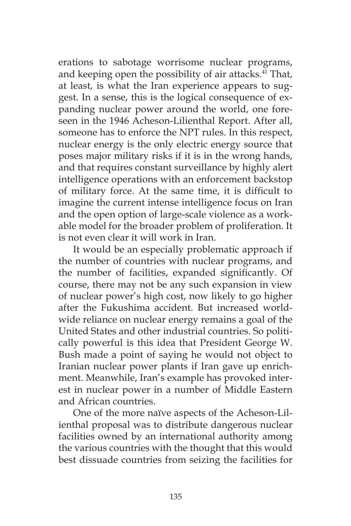erations to sabotage worrisome nuclear programs, and keeping open the possibility of air attacks.<sup>41</sup> That, at least, is what the Iran experience appears to suggest. In a sense, this is the logical consequence of expanding nuclear power around the world, one foreseen in the 1946 Acheson-Lilienthal Report. After all, someone has to enforce the NPT rules. In this respect, nuclear energy is the only electric energy source that poses major military risks if it is in the wrong hands, and that requires constant surveillance by highly alert intelligence operations with an enforcement backstop of military force. At the same time, it is difficult to imagine the current intense intelligence focus on Iran and the open option of large-scale violence as a workable model for the broader problem of proliferation. It is not even clear it will work in Iran.

It would be an especially problematic approach if the number of countries with nuclear programs, and the number of facilities, expanded significantly. Of course, there may not be any such expansion in view of nuclear power's high cost, now likely to go higher after the Fukushima accident. But increased worldwide reliance on nuclear energy remains a goal of the United States and other industrial countries. So politically powerful is this idea that President George W. Bush made a point of saying he would not object to Iranian nuclear power plants if Iran gave up enrichment. Meanwhile, Iran's example has provoked interest in nuclear power in a number of Middle Eastern and African countries.

One of the more naïve aspects of the Acheson-Lilienthal proposal was to distribute dangerous nuclear facilities owned by an international authority among the various countries with the thought that this would best dissuade countries from seizing the facilities for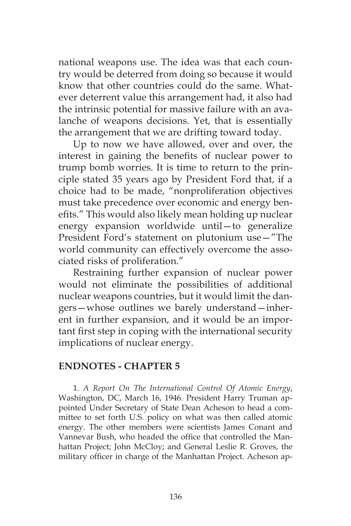national weapons use. The idea was that each country would be deterred from doing so because it would know that other countries could do the same. Whatever deterrent value this arrangement had, it also had the intrinsic potential for massive failure with an avalanche of weapons decisions. Yet, that is essentially the arrangement that we are drifting toward today.

Up to now we have allowed, over and over, the interest in gaining the benefits of nuclear power to trump bomb worries. It is time to return to the principle stated 35 years ago by President Ford that, if a choice had to be made, "nonproliferation objectives must take precedence over economic and energy benefits." This would also likely mean holding up nuclear energy expansion worldwide until—to generalize President Ford's statement on plutonium use—"The world community can effectively overcome the associated risks of proliferation."

Restraining further expansion of nuclear power would not eliminate the possibilities of additional nuclear weapons countries, but it would limit the dangers—whose outlines we barely understand—inherent in further expansion, and it would be an important first step in coping with the international security implications of nuclear energy.

#### **ENDNOTES - CHAPTER 5**

1. *A Report On The International Control Of Atomic Energy*, Washington, DC, March 16, 1946. President Harry Truman appointed Under Secretary of State Dean Acheson to head a committee to set forth U.S. policy on what was then called atomic energy. The other members were scientists James Conant and Vannevar Bush, who headed the office that controlled the Manhattan Project; John McCloy; and General Leslie R. Groves, the military officer in charge of the Manhattan Project. Acheson ap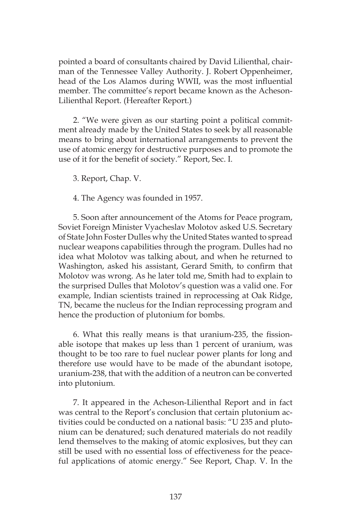pointed a board of consultants chaired by David Lilienthal, chairman of the Tennessee Valley Authority. J. Robert Oppenheimer, head of the Los Alamos during WWII, was the most influential member. The committee's report became known as the Acheson-Lilienthal Report. (Hereafter Report.)

2. "We were given as our starting point a political commitment already made by the United States to seek by all reasonable means to bring about international arrangements to prevent the use of atomic energy for destructive purposes and to promote the use of it for the benefit of society." Report, Sec. I.

3. Report, Chap. V.

4. The Agency was founded in 1957.

5. Soon after announcement of the Atoms for Peace program, Soviet Foreign Minister Vyacheslav Molotov asked U.S. Secretary of State John Foster Dulles why the United States wanted to spread nuclear weapons capabilities through the program. Dulles had no idea what Molotov was talking about, and when he returned to Washington, asked his assistant, Gerard Smith, to confirm that Molotov was wrong. As he later told me, Smith had to explain to the surprised Dulles that Molotov's question was a valid one. For example, Indian scientists trained in reprocessing at Oak Ridge, TN, became the nucleus for the Indian reprocessing program and hence the production of plutonium for bombs.

6. What this really means is that uranium-235, the fissionable isotope that makes up less than 1 percent of uranium, was thought to be too rare to fuel nuclear power plants for long and therefore use would have to be made of the abundant isotope, uranium-238, that with the addition of a neutron can be converted into plutonium.

7. It appeared in the Acheson-Lilienthal Report and in fact was central to the Report's conclusion that certain plutonium activities could be conducted on a national basis: "U 235 and plutonium can be denatured; such denatured materials do not readily lend themselves to the making of atomic explosives, but they can still be used with no essential loss of effectiveness for the peaceful applications of atomic energy." See Report, Chap. V. In the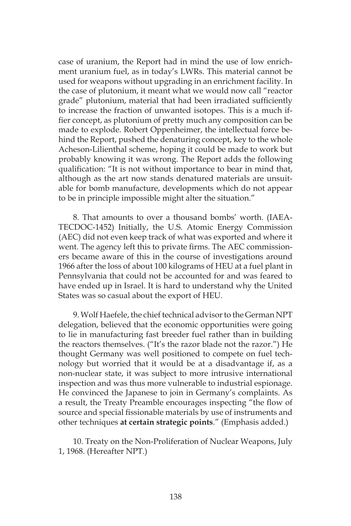case of uranium, the Report had in mind the use of low enrichment uranium fuel, as in today's LWRs. This material cannot be used for weapons without upgrading in an enrichment facility. In the case of plutonium, it meant what we would now call "reactor grade" plutonium, material that had been irradiated sufficiently to increase the fraction of unwanted isotopes. This is a much iffier concept, as plutonium of pretty much any composition can be made to explode. Robert Oppenheimer, the intellectual force behind the Report, pushed the denaturing concept, key to the whole Acheson-Lilienthal scheme, hoping it could be made to work but probably knowing it was wrong. The Report adds the following qualification: "It is not without importance to bear in mind that, although as the art now stands denatured materials are unsuitable for bomb manufacture, developments which do not appear to be in principle impossible might alter the situation."

8. That amounts to over a thousand bombs' worth. (IAEA-TECDOC-1452) Initially, the U.S. Atomic Energy Commission (AEC) did not even keep track of what was exported and where it went. The agency left this to private firms. The AEC commissioners became aware of this in the course of investigations around 1966 after the loss of about 100 kilograms of HEU at a fuel plant in Pennsylvania that could not be accounted for and was feared to have ended up in Israel. It is hard to understand why the United States was so casual about the export of HEU.

9. Wolf Haefele, the chief technical advisor to the German NPT delegation, believed that the economic opportunities were going to lie in manufacturing fast breeder fuel rather than in building the reactors themselves. ("It's the razor blade not the razor.") He thought Germany was well positioned to compete on fuel technology but worried that it would be at a disadvantage if, as a non-nuclear state, it was subject to more intrusive international inspection and was thus more vulnerable to industrial espionage. He convinced the Japanese to join in Germany's complaints. As a result, the Treaty Preamble encourages inspecting "the flow of source and special fissionable materials by use of instruments and other techniques **at certain strategic points**." (Emphasis added.)

10. Treaty on the Non-Proliferation of Nuclear Weapons, July 1, 1968. (Hereafter NPT.)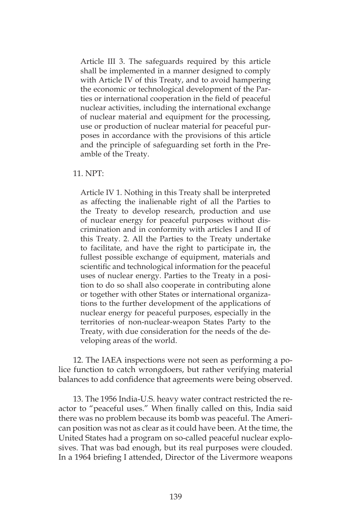Article III 3. The safeguards required by this article shall be implemented in a manner designed to comply with Article IV of this Treaty, and to avoid hampering the economic or technological development of the Parties or international cooperation in the field of peaceful nuclear activities, including the international exchange of nuclear material and equipment for the processing, use or production of nuclear material for peaceful purposes in accordance with the provisions of this article and the principle of safeguarding set forth in the Preamble of the Treaty.

#### 11. NPT:

Article IV 1. Nothing in this Treaty shall be interpreted as affecting the inalienable right of all the Parties to the Treaty to develop research, production and use of nuclear energy for peaceful purposes without discrimination and in conformity with articles I and II of this Treaty. 2. All the Parties to the Treaty undertake to facilitate, and have the right to participate in, the fullest possible exchange of equipment, materials and scientific and technological information for the peaceful uses of nuclear energy. Parties to the Treaty in a position to do so shall also cooperate in contributing alone or together with other States or international organizations to the further development of the applications of nuclear energy for peaceful purposes, especially in the territories of non-nuclear-weapon States Party to the Treaty, with due consideration for the needs of the developing areas of the world.

12. The IAEA inspections were not seen as performing a police function to catch wrongdoers, but rather verifying material balances to add confidence that agreements were being observed.

13. The 1956 India-U.S. heavy water contract restricted the reactor to "peaceful uses." When finally called on this, India said there was no problem because its bomb was peaceful. The American position was not as clear as it could have been. At the time, the United States had a program on so-called peaceful nuclear explosives. That was bad enough, but its real purposes were clouded. In a 1964 briefing I attended, Director of the Livermore weapons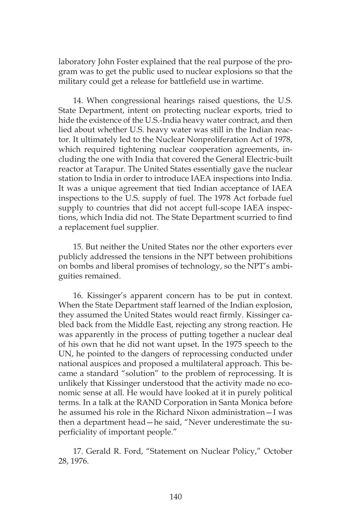laboratory John Foster explained that the real purpose of the program was to get the public used to nuclear explosions so that the military could get a release for battlefield use in wartime.

14. When congressional hearings raised questions, the U.S. State Department, intent on protecting nuclear exports, tried to hide the existence of the U.S.-India heavy water contract, and then lied about whether U.S. heavy water was still in the Indian reactor. It ultimately led to the Nuclear Nonproliferation Act of 1978, which required tightening nuclear cooperation agreements, including the one with India that covered the General Electric-built reactor at Tarapur. The United States essentially gave the nuclear station to India in order to introduce IAEA inspections into India. It was a unique agreement that tied Indian acceptance of IAEA inspections to the U.S. supply of fuel. The 1978 Act forbade fuel supply to countries that did not accept full-scope IAEA inspections, which India did not. The State Department scurried to find a replacement fuel supplier.

15. But neither the United States nor the other exporters ever publicly addressed the tensions in the NPT between prohibitions on bombs and liberal promises of technology, so the NPT's ambiguities remained.

16. Kissinger's apparent concern has to be put in context. When the State Department staff learned of the Indian explosion, they assumed the United States would react firmly. Kissinger cabled back from the Middle East, rejecting any strong reaction. He was apparently in the process of putting together a nuclear deal of his own that he did not want upset. In the 1975 speech to the UN, he pointed to the dangers of reprocessing conducted under national auspices and proposed a multilateral approach. This became a standard "solution" to the problem of reprocessing. It is unlikely that Kissinger understood that the activity made no economic sense at all. He would have looked at it in purely political terms. In a talk at the RAND Corporation in Santa Monica before he assumed his role in the Richard Nixon administration—I was then a department head—he said, "Never underestimate the superficiality of important people."

17. Gerald R. Ford, "Statement on Nuclear Policy," October 28, 1976.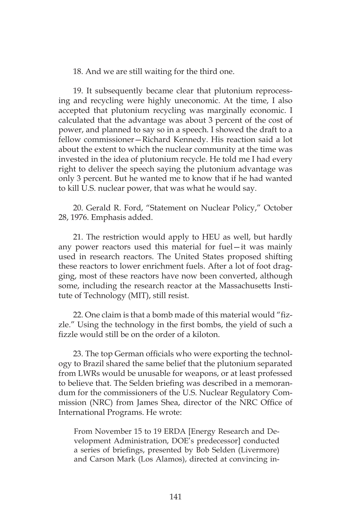18. And we are still waiting for the third one.

19. It subsequently became clear that plutonium reprocessing and recycling were highly uneconomic. At the time, I also accepted that plutonium recycling was marginally economic. I calculated that the advantage was about 3 percent of the cost of power, and planned to say so in a speech. I showed the draft to a fellow commissioner—Richard Kennedy. His reaction said a lot about the extent to which the nuclear community at the time was invested in the idea of plutonium recycle. He told me I had every right to deliver the speech saying the plutonium advantage was only 3 percent. But he wanted me to know that if he had wanted to kill U.S. nuclear power, that was what he would say.

20. Gerald R. Ford, "Statement on Nuclear Policy," October 28, 1976. Emphasis added.

21. The restriction would apply to HEU as well, but hardly any power reactors used this material for fuel—it was mainly used in research reactors. The United States proposed shifting these reactors to lower enrichment fuels. After a lot of foot dragging, most of these reactors have now been converted, although some, including the research reactor at the Massachusetts Institute of Technology (MIT), still resist.

22. One claim is that a bomb made of this material would "fizzle." Using the technology in the first bombs, the yield of such a fizzle would still be on the order of a kiloton.

23. The top German officials who were exporting the technology to Brazil shared the same belief that the plutonium separated from LWRs would be unusable for weapons, or at least professed to believe that. The Selden briefing was described in a memorandum for the commissioners of the U.S. Nuclear Regulatory Commission (NRC) from James Shea, director of the NRC Office of International Programs. He wrote:

From November 15 to 19 ERDA [Energy Research and Development Administration, DOE's predecessor] conducted a series of briefings, presented by Bob Selden (Livermore) and Carson Mark (Los Alamos), directed at convincing in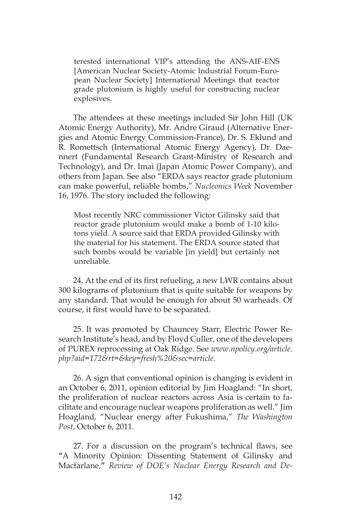terested international VIP's attending the ANS-AIF-ENS [American Nuclear Society-Atomic Industrial Forum-European Nuclear Society] International Meetings that reactor grade plutonium is highly useful for constructing nuclear explosives.

The attendees at these meetings included Sir John Hill (UK Atomic Energy Authority), Mr. Andre Giraud (Alternative Energies and Atomic Energy Commission-France), Dr. S. Eklund and R. Romettsch (International Atomic Energy Agency), Dr. Daennert (Fundamental Research Grant-Ministry of Research and Technology), and Dr. Imai (Japan Atomic Power Company), and others from Japan. See also "ERDA says reactor grade plutonium can make powerful, reliable bombs," *Nucleonics Week* November 16, 1976. The story included the following:

Most recently NRC commissioner Victor Gilinsky said that reactor grade plutonium would make a bomb of 1-10 kilotons yield. A source said that ERDA provided Gilinsky with the material for his statement. The ERDA source stated that such bombs would be variable [in yield] but certainly not unreliable.

24. At the end of its first refueling, a new LWR contains about 300 kilograms of plutonium that is quite suitable for weapons by any standard. That would be enough for about 50 warheads. Of course, it first would have to be separated.

25. It was promoted by Chauncey Starr, Electric Power Research Institute's head, and by Floyd Culler, one of the developers of PUREX reprocessing at Oak Ridge. See *www.npolicy.org/article. php?aid=172&rt=&key=fresh%20&sec=article*.

26. A sign that conventional opinion is changing is evident in an October 6, 2011, opinion editorial by Jim Hoagland: "In short, the proliferation of nuclear reactors across Asia is certain to facilitate and encourage nuclear weapons proliferation as well." Jim Hoagland, "Nuclear energy after Fukushima," *The Washington Post*, October 6, 2011.

27. For a discussion on the program's technical flaws, see **"**A Minority Opinion: Dissenting Statement of Gilinsky and Macfarlane,**"** *Review of DOE's Nuclear Energy Research and De-*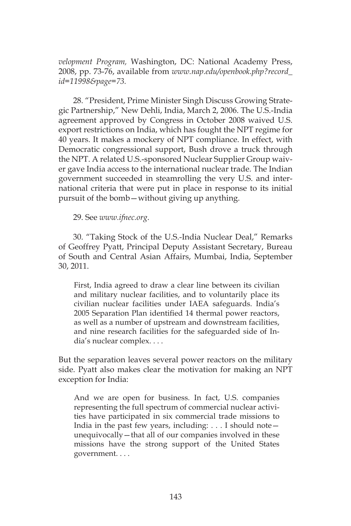*velopment Program,* Washington, DC: National Academy Press, 2008, pp. 73-76, available from *www.nap.edu/openbook.php?record\_ id=11998&page=73.*

28. "President, Prime Minister Singh Discuss Growing Strategic Partnership," New Dehli, India, March 2, 2006. The U.S.-India agreement approved by Congress in October 2008 waived U.S. export restrictions on India, which has fought the NPT regime for 40 years. It makes a mockery of NPT compliance. In effect, with Democratic congressional support, Bush drove a truck through the NPT. A related U.S.-sponsored Nuclear Supplier Group waiver gave India access to the international nuclear trade. The Indian government succeeded in steamrolling the very U.S. and international criteria that were put in place in response to its initial pursuit of the bomb—without giving up anything.

29. See *www.ifnec.org*.

30. "Taking Stock of the U.S.-India Nuclear Deal," Remarks of Geoffrey Pyatt, Principal Deputy Assistant Secretary, Bureau of South and Central Asian Affairs, Mumbai, India, September 30, 2011.

First, India agreed to draw a clear line between its civilian and military nuclear facilities, and to voluntarily place its civilian nuclear facilities under IAEA safeguards. India's 2005 Separation Plan identified 14 thermal power reactors, as well as a number of upstream and downstream facilities, and nine research facilities for the safeguarded side of India's nuclear complex. . . .

But the separation leaves several power reactors on the military side. Pyatt also makes clear the motivation for making an NPT exception for India:

And we are open for business. In fact, U.S. companies representing the full spectrum of commercial nuclear activities have participated in six commercial trade missions to India in the past few years, including: . . . I should note unequivocally—that all of our companies involved in these missions have the strong support of the United States government. . . .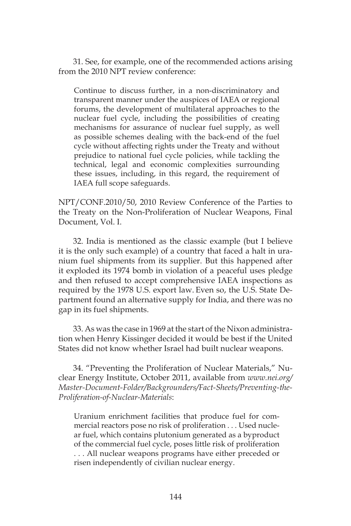31. See, for example, one of the recommended actions arising from the 2010 NPT review conference:

Continue to discuss further, in a non-discriminatory and transparent manner under the auspices of IAEA or regional forums, the development of multilateral approaches to the nuclear fuel cycle, including the possibilities of creating mechanisms for assurance of nuclear fuel supply, as well as possible schemes dealing with the back-end of the fuel cycle without affecting rights under the Treaty and without prejudice to national fuel cycle policies, while tackling the technical, legal and economic complexities surrounding these issues, including, in this regard, the requirement of IAEA full scope safeguards.

NPT/CONF.2010/50, 2010 Review Conference of the Parties to the Treaty on the Non-Proliferation of Nuclear Weapons, Final Document, Vol. I.

32. India is mentioned as the classic example (but I believe it is the only such example) of a country that faced a halt in uranium fuel shipments from its supplier. But this happened after it exploded its 1974 bomb in violation of a peaceful uses pledge and then refused to accept comprehensive IAEA inspections as required by the 1978 U.S. export law. Even so, the U.S. State Department found an alternative supply for India, and there was no gap in its fuel shipments.

33. As was the case in 1969 at the start of the Nixon administration when Henry Kissinger decided it would be best if the United States did not know whether Israel had built nuclear weapons.

34. "Preventing the Proliferation of Nuclear Materials," Nuclear Energy Institute, October 2011, available from *www.nei.org/ Master-Document-Folder/Backgrounders/Fact-Sheets/Preventing-the-Proliferation-of-Nuclear-Materials*:

Uranium enrichment facilities that produce fuel for commercial reactors pose no risk of proliferation . . . Used nuclear fuel, which contains plutonium generated as a byproduct of the commercial fuel cycle, poses little risk of proliferation . . . All nuclear weapons programs have either preceded or risen independently of civilian nuclear energy.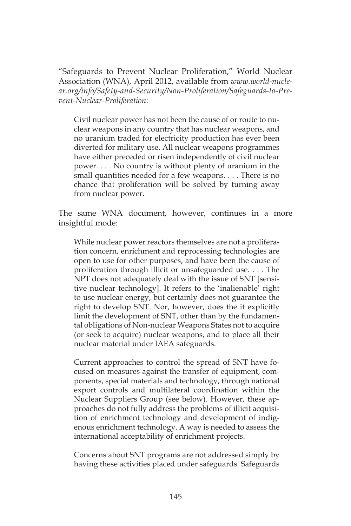"Safeguards to Prevent Nuclear Proliferation," World Nuclear Association (WNA), April 2012, available from *www.world-nuclear.org/info/Safety-and-Security/Non-Proliferation/Safeguards-to-Prevent-Nuclear-Proliferation*:

Civil nuclear power has not been the cause of or route to nuclear weapons in any country that has nuclear weapons, and no uranium traded for electricity production has ever been diverted for military use. All nuclear weapons programmes have either preceded or risen independently of civil nuclear power. . . . No country is without plenty of uranium in the small quantities needed for a few weapons. . . . There is no chance that proliferation will be solved by turning away from nuclear power.

The same WNA document, however, continues in a more insightful mode:

While nuclear power reactors themselves are not a proliferation concern, enrichment and reprocessing technologies are open to use for other purposes, and have been the cause of proliferation through illicit or unsafeguarded use. . . . The NPT does not adequately deal with the issue of SNT [sensitive nuclear technology]. It refers to the 'inalienable' right to use nuclear energy, but certainly does not guarantee the right to develop SNT. Nor, however, does the it explicitly limit the development of SNT, other than by the fundamental obligations of Non-nuclear Weapons States not to acquire (or seek to acquire) nuclear weapons, and to place all their nuclear material under IAEA safeguards.

Current approaches to control the spread of SNT have focused on measures against the transfer of equipment, components, special materials and technology, through national export controls and multilateral coordination within the Nuclear Suppliers Group (see below). However, these approaches do not fully address the problems of illicit acquisition of enrichment technology and development of indigenous enrichment technology. A way is needed to assess the international acceptability of enrichment projects.

Concerns about SNT programs are not addressed simply by having these activities placed under safeguards. Safeguards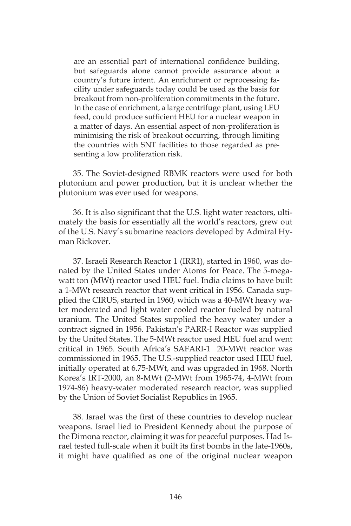are an essential part of international confidence building, but safeguards alone cannot provide assurance about a country's future intent. An enrichment or reprocessing facility under safeguards today could be used as the basis for breakout from non-proliferation commitments in the future. In the case of enrichment, a large centrifuge plant, using LEU feed, could produce sufficient HEU for a nuclear weapon in a matter of days. An essential aspect of non-proliferation is minimising the risk of breakout occurring, through limiting the countries with SNT facilities to those regarded as presenting a low proliferation risk.

35. The Soviet-designed RBMK reactors were used for both plutonium and power production, but it is unclear whether the plutonium was ever used for weapons.

36. It is also significant that the U.S. light water reactors, ultimately the basis for essentially all the world's reactors, grew out of the U.S. Navy's submarine reactors developed by Admiral Hyman Rickover.

37. Israeli Research Reactor 1 (IRR1), started in 1960, was donated by the United States under Atoms for Peace. The 5-megawatt ton (MWt) reactor used HEU fuel. India claims to have built a 1-MWt research reactor that went critical in 1956. Canada supplied the CIRUS, started in 1960, which was a 40-MWt heavy water moderated and light water cooled reactor fueled by natural uranium. The United States supplied the heavy water under a contract signed in 1956. Pakistan's PARR-I Reactor was supplied by the United States. The 5-MWt reactor used HEU fuel and went critical in 1965. South Africa's SAFARI-1 20-MWt reactor was commissioned in 1965. The U.S.-supplied reactor used HEU fuel, initially operated at 6.75-MWt, and was upgraded in 1968. North Korea's IRT-2000, an 8-MWt (2-MWt from 1965-74, 4-MWt from 1974-86) heavy-water moderated research reactor, was supplied by the Union of Soviet Socialist Republics in 1965.

38. Israel was the first of these countries to develop nuclear weapons. Israel lied to President Kennedy about the purpose of the Dimona reactor, claiming it was for peaceful purposes. Had Israel tested full-scale when it built its first bombs in the late-1960s, it might have qualified as one of the original nuclear weapon